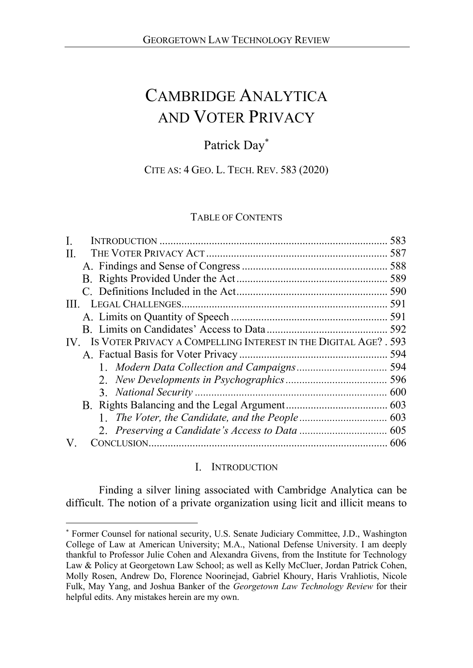# CAMBRIDGE ANALYTICA AND VOTER PRIVACY

# Patrick Day\*

# CITE AS: 4 GEO. L. TECH. REV. 583 (2020)

# TABLE OF CONTENTS

| П.                                                                   |  |
|----------------------------------------------------------------------|--|
|                                                                      |  |
|                                                                      |  |
|                                                                      |  |
|                                                                      |  |
|                                                                      |  |
|                                                                      |  |
| IV. IS VOTER PRIVACY A COMPELLING INTEREST IN THE DIGITAL AGE? . 593 |  |
|                                                                      |  |
|                                                                      |  |
|                                                                      |  |
|                                                                      |  |
|                                                                      |  |
|                                                                      |  |
|                                                                      |  |
|                                                                      |  |

# I. INTRODUCTION

Finding a silver lining associated with Cambridge Analytica can be difficult. The notion of a private organization using licit and illicit means to

<sup>\*</sup> Former Counsel for national security, U.S. Senate Judiciary Committee, J.D., Washington College of Law at American University; M.A., National Defense University. I am deeply thankful to Professor Julie Cohen and Alexandra Givens, from the Institute for Technology Law & Policy at Georgetown Law School; as well as Kelly McCluer, Jordan Patrick Cohen, Molly Rosen, Andrew Do, Florence Noorinejad, Gabriel Khoury, Haris Vrahliotis, Nicole Fulk, May Yang, and Joshua Banker of the *Georgetown Law Technology Review* for their helpful edits. Any mistakes herein are my own.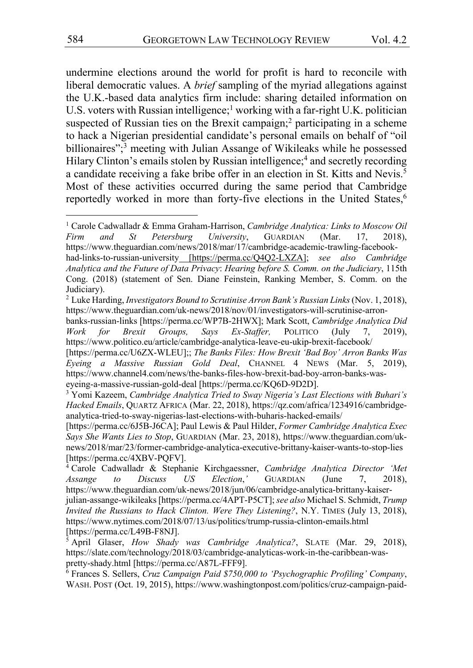undermine elections around the world for profit is hard to reconcile with liberal democratic values. A *brief* sampling of the myriad allegations against the U.K.-based data analytics firm include: sharing detailed information on U.S. voters with Russian intelligence;<sup>1</sup> working with a far-right U.K. politician suspected of Russian ties on the Brexit campaign;<sup>2</sup> participating in a scheme to hack a Nigerian presidential candidate's personal emails on behalf of "oil billionaires";<sup>3</sup> meeting with Julian Assange of Wikileaks while he possessed Hilary Clinton's emails stolen by Russian intelligence;<sup>4</sup> and secretly recording a candidate receiving a fake bribe offer in an election in St. Kitts and Nevis.<sup>5</sup> Most of these activities occurred during the same period that Cambridge reportedly worked in more than forty-five elections in the United States,<sup>6</sup>

<sup>1</sup> Carole Cadwalladr & Emma Graham-Harrison, *Cambridge Analytica: Links to Moscow Oil Firm and St Petersburg University*, GUARDIAN (Mar. 17, 2018), https://www.theguardian.com/news/2018/mar/17/cambridge-academic-trawling-facebookhad-links-to-russian-university [https://perma.cc/Q4Q2-LXZA]; *see also Cambridge Analytica and the Future of Data Privacy*: *Hearing before S. Comm. on the Judiciary*, 115th Cong. (2018) (statement of Sen. Diane Feinstein, Ranking Member, S. Comm. on the Judiciary).

<sup>&</sup>lt;sup>2</sup> Luke Harding, *Investigators Bound to Scrutinise Arron Bank's Russian Links* (Nov. 1, 2018), https://www.theguardian.com/uk-news/2018/nov/01/investigators-will-scrutinise-arron-

banks-russian-links [https://perma.cc/WP7B-2HWX]; Mark Scott, *Cambridge Analytica Did Work for Brexit Groups, Says Ex-Staffer,* POLITICO (July 7, 2019), https://www.politico.eu/article/cambridge-analytica-leave-eu-ukip-brexit-facebook/

<sup>[</sup>https://perma.cc/U6ZX-WLEU];; *The Banks Files: How Brexit 'Bad Boy' Arron Banks Was Eyeing a Massive Russian Gold Deal*, CHANNEL 4 NEWS (Mar. 5, 2019), https://www.channel4.com/news/the-banks-files-how-brexit-bad-boy-arron-banks-waseyeing-a-massive-russian-gold-deal [https://perma.cc/KQ6D-9D2D].

<sup>3</sup> Yomi Kazeem, *Cambridge Analytica Tried to Sway Nigeria's Last Elections with Buhari's Hacked Emails*, QUARTZ AFRICA (Mar. 22, 2018), https://qz.com/africa/1234916/cambridgeanalytica-tried-to-sway-nigerias-last-elections-with-buharis-hacked-emails/

<sup>[</sup>https://perma.cc/6J5B-J6CA]; Paul Lewis & Paul Hilder, *Former Cambridge Analytica Exec Says She Wants Lies to Stop*, GUARDIAN (Mar. 23, 2018), https://www.theguardian.com/uknews/2018/mar/23/former-cambridge-analytica-executive-brittany-kaiser-wants-to-stop-lies [https://perma.cc/4XBV-PQFV].

<sup>4</sup> Carole Cadwalladr & Stephanie Kirchgaessner, *Cambridge Analytica Director 'Met Assange to Discuss US Election*,*'* GUARDIAN (June 7, 2018), https://www.theguardian.com/uk-news/2018/jun/06/cambridge-analytica-brittany-kaiserjulian-assange-wikileaks [https://perma.cc/4APT-P5CT];*see also* Michael S. Schmidt, *Trump Invited the Russians to Hack Clinton. Were They Listening?*, N.Y. TIMES (July 13, 2018), https://www.nytimes.com/2018/07/13/us/politics/trump-russia-clinton-emails.html [https://perma.cc/L49B-F8NJ].

<sup>5</sup> April Glaser, *How Shady was Cambridge Analytica?*, SLATE (Mar. 29, 2018), https://slate.com/technology/2018/03/cambridge-analyticas-work-in-the-caribbean-waspretty-shady.html [https://perma.cc/A87L-FFF9].

<sup>6</sup> Frances S. Sellers, *Cruz Campaign Paid \$750,000 to 'Psychographic Profiling' Company*, WASH. POST (Oct. 19, 2015), https://www.washingtonpost.com/politics/cruz-campaign-paid-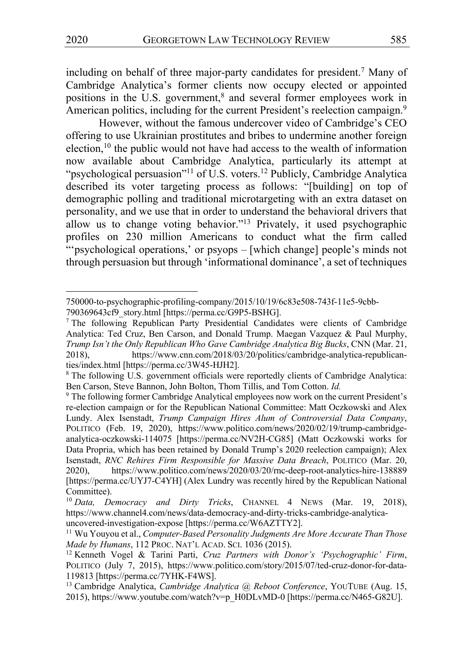including on behalf of three major-party candidates for president.7 Many of Cambridge Analytica's former clients now occupy elected or appointed positions in the U.S. government,<sup>8</sup> and several former employees work in American politics, including for the current President's reelection campaign.<sup>9</sup>

However, without the famous undercover video of Cambridge's CEO offering to use Ukrainian prostitutes and bribes to undermine another foreign election, $10$  the public would not have had access to the wealth of information now available about Cambridge Analytica, particularly its attempt at "psychological persuasion"<sup>11</sup> of U.S. voters.<sup>12</sup> Publicly, Cambridge Analytica described its voter targeting process as follows: "[building] on top of demographic polling and traditional microtargeting with an extra dataset on personality, and we use that in order to understand the behavioral drivers that allow us to change voting behavior."13 Privately, it used psychographic profiles on 230 million Americans to conduct what the firm called "'psychological operations,' or psyops – [which change] people's minds not through persuasion but through 'informational dominance', a set of techniques

<sup>750000-</sup>to-psychographic-profiling-company/2015/10/19/6c83e508-743f-11e5-9cbb-790369643cf9\_story.html [https://perma.cc/G9P5-BSHG].

<sup>&</sup>lt;sup>7</sup> The following Republican Party Presidential Candidates were clients of Cambridge Analytica: Ted Cruz, Ben Carson, and Donald Trump. Maegan Vazquez & Paul Murphy, *Trump Isn't the Only Republican Who Gave Cambridge Analytica Big Bucks*, CNN (Mar. 21, 2018), https://www.cnn.com/2018/03/20/politics/cambridge-analytica-republicanties/index.html [https://perma.cc/3W45-HJH2].

<sup>8</sup> The following U.S. government officials were reportedly clients of Cambridge Analytica: Ben Carson, Steve Bannon, John Bolton, Thom Tillis, and Tom Cotton. *Id.*

<sup>&</sup>lt;sup>9</sup> The following former Cambridge Analytical employees now work on the current President's re-election campaign or for the Republican National Committee: Matt Oczkowski and Alex Lundy. Alex Isenstadt, *Trump Campaign Hires Alum of Controversial Data Company*, POLITICO (Feb. 19, 2020), https://www.politico.com/news/2020/02/19/trump-cambridgeanalytica-oczkowski-114075 [https://perma.cc/NV2H-CG85] (Matt Oczkowski works for Data Propria, which has been retained by Donald Trump's 2020 reelection campaign); Alex Isenstadt, *RNC Rehires Firm Responsible for Massive Data Breach*, POLITICO (Mar. 20, 2020), https://www.politico.com/news/2020/03/20/rnc-deep-root-analytics-hire-138889 [https://perma.cc/UYJ7-C4YH] (Alex Lundry was recently hired by the Republican National Committee).

<sup>10</sup> *Data, Democracy and Dirty Tricks*, CHANNEL 4 NEWS (Mar. 19, 2018), https://www.channel4.com/news/data-democracy-and-dirty-tricks-cambridge-analyticauncovered-investigation-expose [https://perma.cc/W6AZTTY2].

<sup>11</sup> Wu Youyou et al., *Computer-Based Personality Judgments Are More Accurate Than Those Made by Humans*, 112 PROC. NAT'L ACAD. SCI. 1036 (2015).

<sup>12</sup> Kenneth Vogel & Tarini Parti, *Cruz Partners with Donor's 'Psychographic' Firm*, POLITICO (July 7, 2015), https://www.politico.com/story/2015/07/ted-cruz-donor-for-data-119813 [https://perma.cc/7YHK-F4WS].

<sup>13</sup> Cambridge Analytica, *Cambridge Analytica @ Reboot Conference*, YOUTUBE (Aug. 15, 2015), https://www.youtube.com/watch?v=p\_H0DLvMD-0 [https://perma.cc/N465-G82U].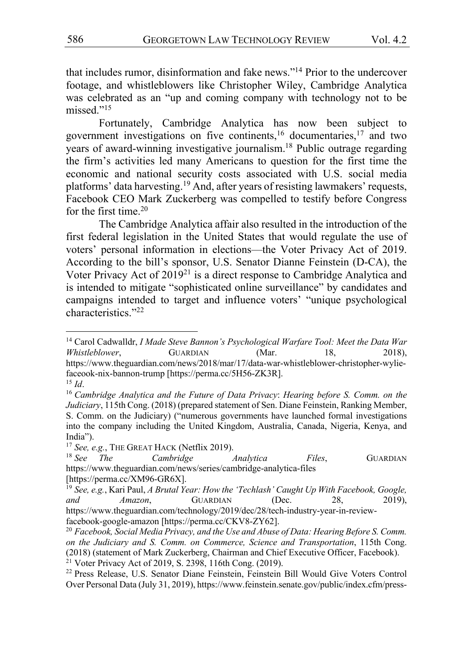that includes rumor, disinformation and fake news."14 Prior to the undercover footage, and whistleblowers like Christopher Wiley, Cambridge Analytica was celebrated as an "up and coming company with technology not to be missed."<sup>15</sup>

Fortunately, Cambridge Analytica has now been subject to government investigations on five continents,16 documentaries,17 and two years of award-winning investigative journalism.18 Public outrage regarding the firm's activities led many Americans to question for the first time the economic and national security costs associated with U.S. social media platforms' data harvesting.<sup>19</sup> And, after years of resisting lawmakers' requests, Facebook CEO Mark Zuckerberg was compelled to testify before Congress for the first time.20

The Cambridge Analytica affair also resulted in the introduction of the first federal legislation in the United States that would regulate the use of voters' personal information in elections—the Voter Privacy Act of 2019. According to the bill's sponsor, U.S. Senator Dianne Feinstein (D-CA), the Voter Privacy Act of  $2019^{21}$  is a direct response to Cambridge Analytica and is intended to mitigate "sophisticated online surveillance" by candidates and campaigns intended to target and influence voters' "unique psychological characteristics."22

<sup>14</sup> Carol Cadwalldr, *I Made Steve Bannon's Psychological Warfare Tool: Meet the Data War Whistleblower*, GUARDIAN (Mar. 18, 2018), https://www.theguardian.com/news/2018/mar/17/data-war-whistleblower-christopher-wyliefaceook-nix-bannon-trump [https://perma.cc/5H56-ZK3R].  $^{15}$  *Id.* 

<sup>16</sup> *Cambridge Analytica and the Future of Data Privacy*: *Hearing before S. Comm. on the Judiciary*, 115th Cong. (2018) (prepared statement of Sen. Diane Feinstein, Ranking Member, S. Comm. on the Judiciary) ("numerous governments have launched formal investigations into the company including the United Kingdom, Australia, Canada, Nigeria, Kenya, and India").

<sup>&</sup>lt;sup>17</sup> *See, e.g.*, THE GREAT HACK (Netflix 2019).

<sup>18</sup> *See The Cambridge Analytica Files*, GUARDIAN https://www.theguardian.com/news/series/cambridge-analytica-files [https://perma.cc/XM96-GR6X].

<sup>19</sup> *See, e.g.*, Kari Paul, *A Brutal Year: How the 'Techlash' Caught Up With Facebook, Google, and Amazon*, GUARDIAN (Dec. 28, 2019), https://www.theguardian.com/technology/2019/dec/28/tech-industry-year-in-reviewfacebook-google-amazon [https://perma.cc/CKV8-ZY62].

<sup>20</sup> *Facebook, Social Media Privacy, and the Use and Abuse of Data: Hearing Before S. Comm. on the Judiciary and S. Comm. on Commerce, Science and Transportation*, 115th Cong. (2018) (statement of Mark Zuckerberg, Chairman and Chief Executive Officer, Facebook).  $21$  Voter Privacy Act of 2019, S. 2398, 116th Cong. (2019).

<sup>22</sup> Press Release, U.S. Senator Diane Feinstein, Feinstein Bill Would Give Voters Control Over Personal Data (July 31, 2019), https://www.feinstein.senate.gov/public/index.cfm/press-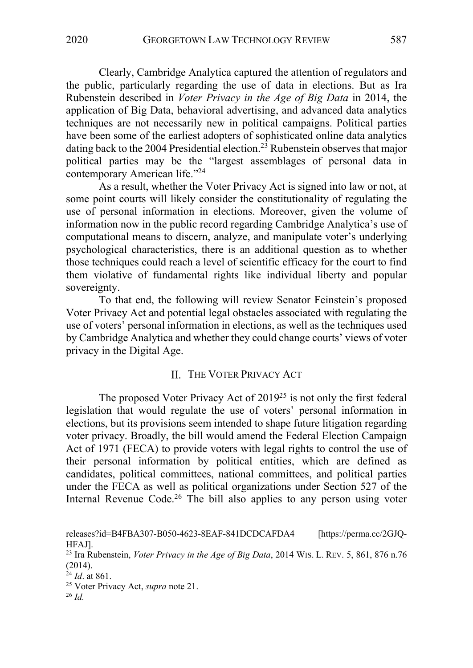Clearly, Cambridge Analytica captured the attention of regulators and the public, particularly regarding the use of data in elections. But as Ira Rubenstein described in *Voter Privacy in the Age of Big Data* in 2014, the application of Big Data, behavioral advertising, and advanced data analytics techniques are not necessarily new in political campaigns. Political parties have been some of the earliest adopters of sophisticated online data analytics dating back to the 2004 Presidential election.<sup>23</sup> Rubenstein observes that major political parties may be the "largest assemblages of personal data in contemporary American life."24

As a result, whether the Voter Privacy Act is signed into law or not, at some point courts will likely consider the constitutionality of regulating the use of personal information in elections. Moreover, given the volume of information now in the public record regarding Cambridge Analytica's use of computational means to discern, analyze, and manipulate voter's underlying psychological characteristics, there is an additional question as to whether those techniques could reach a level of scientific efficacy for the court to find them violative of fundamental rights like individual liberty and popular sovereignty.

To that end, the following will review Senator Feinstein's proposed Voter Privacy Act and potential legal obstacles associated with regulating the use of voters' personal information in elections, as well as the techniques used by Cambridge Analytica and whether they could change courts' views of voter privacy in the Digital Age.

### II. THE VOTER PRIVACY ACT

The proposed Voter Privacy Act of  $2019^{25}$  is not only the first federal legislation that would regulate the use of voters' personal information in elections, but its provisions seem intended to shape future litigation regarding voter privacy. Broadly, the bill would amend the Federal Election Campaign Act of 1971 (FECA) to provide voters with legal rights to control the use of their personal information by political entities, which are defined as candidates, political committees, national committees, and political parties under the FECA as well as political organizations under Section 527 of the Internal Revenue Code.<sup>26</sup> The bill also applies to any person using voter

releases?id=B4FBA307-B050-4623-8EAF-841DCDCAFDA4 [https://perma.cc/2GJQ-HFAJ].

<sup>23</sup> Ira Rubenstein, *Voter Privacy in the Age of Big Data*, 2014 WIS. L. REV. 5, 861, 876 n.76 (2014).

<sup>24</sup> *Id*. at 861.

<sup>25</sup> Voter Privacy Act, *supra* note 21.

<sup>26</sup> *Id.*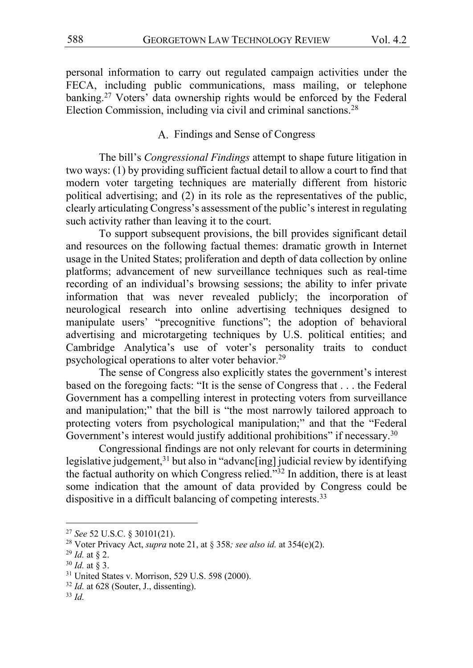personal information to carry out regulated campaign activities under the FECA, including public communications, mass mailing, or telephone banking.<sup>27</sup> Voters' data ownership rights would be enforced by the Federal Election Commission, including via civil and criminal sanctions.<sup>28</sup>

#### A. Findings and Sense of Congress

The bill's *Congressional Findings* attempt to shape future litigation in two ways: (1) by providing sufficient factual detail to allow a court to find that modern voter targeting techniques are materially different from historic political advertising; and (2) in its role as the representatives of the public, clearly articulating Congress's assessment of the public's interest in regulating such activity rather than leaving it to the court.

To support subsequent provisions, the bill provides significant detail and resources on the following factual themes: dramatic growth in Internet usage in the United States; proliferation and depth of data collection by online platforms; advancement of new surveillance techniques such as real-time recording of an individual's browsing sessions; the ability to infer private information that was never revealed publicly; the incorporation of neurological research into online advertising techniques designed to manipulate users' "precognitive functions"; the adoption of behavioral advertising and microtargeting techniques by U.S. political entities; and Cambridge Analytica's use of voter's personality traits to conduct psychological operations to alter voter behavior.<sup>29</sup>

The sense of Congress also explicitly states the government's interest based on the foregoing facts: "It is the sense of Congress that . . . the Federal Government has a compelling interest in protecting voters from surveillance and manipulation;" that the bill is "the most narrowly tailored approach to protecting voters from psychological manipulation;" and that the "Federal Government's interest would justify additional prohibitions" if necessary.<sup>30</sup>

Congressional findings are not only relevant for courts in determining legislative judgement,<sup>31</sup> but also in "advanc[ing] judicial review by identifying the factual authority on which Congress relied."32 In addition, there is at least some indication that the amount of data provided by Congress could be dispositive in a difficult balancing of competing interests.<sup>33</sup>

<sup>27</sup> *See* 52 U.S.C. § 30101(21).

<sup>28</sup> Voter Privacy Act, *supra* note 21, at § 358*; see also id.* at 354(e)(2).

<sup>29</sup> *Id.* at § 2.

<sup>30</sup> *Id.* at § 3.

<sup>31</sup> United States v. Morrison, 529 U.S. 598 (2000).

<sup>&</sup>lt;sup>32</sup> *Id.* at 628 (Souter, J., dissenting).

<sup>33</sup> *Id.*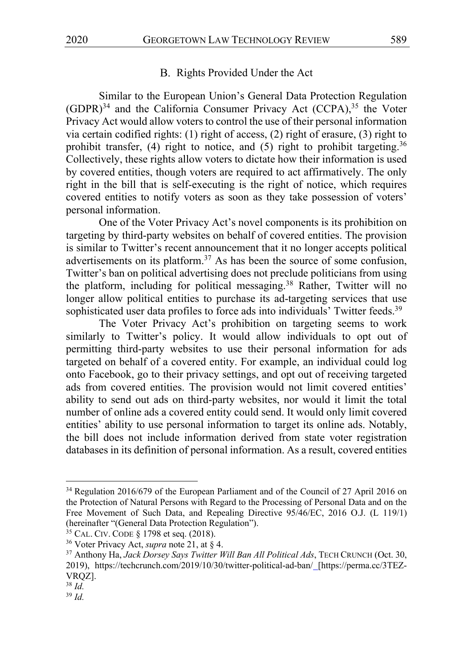#### B. Rights Provided Under the Act

Similar to the European Union's General Data Protection Regulation  $(GDPR)^{34}$  and the California Consumer Privacy Act  $(CCPA)^{35}$  the Voter Privacy Act would allow voters to control the use of their personal information via certain codified rights: (1) right of access, (2) right of erasure, (3) right to prohibit transfer, (4) right to notice, and (5) right to prohibit targeting.<sup>36</sup> Collectively, these rights allow voters to dictate how their information is used by covered entities, though voters are required to act affirmatively. The only right in the bill that is self-executing is the right of notice, which requires covered entities to notify voters as soon as they take possession of voters' personal information.

One of the Voter Privacy Act's novel components is its prohibition on targeting by third-party websites on behalf of covered entities. The provision is similar to Twitter's recent announcement that it no longer accepts political advertisements on its platform.<sup>37</sup> As has been the source of some confusion, Twitter's ban on political advertising does not preclude politicians from using the platform, including for political messaging.<sup>38</sup> Rather, Twitter will no longer allow political entities to purchase its ad-targeting services that use sophisticated user data profiles to force ads into individuals' Twitter feeds.<sup>39</sup>

The Voter Privacy Act's prohibition on targeting seems to work similarly to Twitter's policy. It would allow individuals to opt out of permitting third-party websites to use their personal information for ads targeted on behalf of a covered entity. For example, an individual could log onto Facebook, go to their privacy settings, and opt out of receiving targeted ads from covered entities. The provision would not limit covered entities' ability to send out ads on third-party websites, nor would it limit the total number of online ads a covered entity could send. It would only limit covered entities' ability to use personal information to target its online ads. Notably, the bill does not include information derived from state voter registration databases in its definition of personal information. As a result, covered entities

<sup>34</sup> Regulation 2016/679 of the European Parliament and of the Council of 27 April 2016 on the Protection of Natural Persons with Regard to the Processing of Personal Data and on the Free Movement of Such Data, and Repealing Directive 95/46/EC, 2016 O.J. (L 119/1) (hereinafter "(General Data Protection Regulation").

<sup>35</sup> CAL. CIV. CODE § 1798 et seq. (2018).

<sup>36</sup> Voter Privacy Act, *supra* note 21, at § 4.

<sup>37</sup> Anthony Ha, *Jack Dorsey Says Twitter Will Ban All Political Ads*, TECH CRUNCH (Oct. 30, 2019), https://techcrunch.com/2019/10/30/twitter-political-ad-ban/ [https://perma.cc/3TEZ-VRQZ].

<sup>38</sup> *Id.*

<sup>39</sup> *Id.*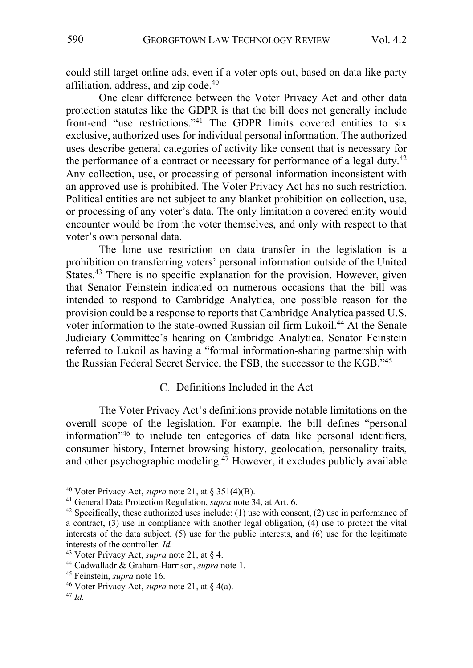could still target online ads, even if a voter opts out, based on data like party affiliation, address, and zip code.<sup>40</sup>

One clear difference between the Voter Privacy Act and other data protection statutes like the GDPR is that the bill does not generally include front-end "use restrictions."41 The GDPR limits covered entities to six exclusive, authorized uses for individual personal information. The authorized uses describe general categories of activity like consent that is necessary for the performance of a contract or necessary for performance of a legal duty.<sup>42</sup> Any collection, use, or processing of personal information inconsistent with an approved use is prohibited. The Voter Privacy Act has no such restriction. Political entities are not subject to any blanket prohibition on collection, use, or processing of any voter's data. The only limitation a covered entity would encounter would be from the voter themselves, and only with respect to that voter's own personal data.

The lone use restriction on data transfer in the legislation is a prohibition on transferring voters' personal information outside of the United States.<sup>43</sup> There is no specific explanation for the provision. However, given that Senator Feinstein indicated on numerous occasions that the bill was intended to respond to Cambridge Analytica, one possible reason for the provision could be a response to reports that Cambridge Analytica passed U.S. voter information to the state-owned Russian oil firm Lukoil.<sup>44</sup> At the Senate Judiciary Committee's hearing on Cambridge Analytica, Senator Feinstein referred to Lukoil as having a "formal information-sharing partnership with the Russian Federal Secret Service, the FSB, the successor to the KGB."45

#### Definitions Included in the Act

The Voter Privacy Act's definitions provide notable limitations on the overall scope of the legislation. For example, the bill defines "personal information"46 to include ten categories of data like personal identifiers, consumer history, Internet browsing history, geolocation, personality traits, and other psychographic modeling.<sup>47</sup> However, it excludes publicly available

<sup>40</sup> Voter Privacy Act, *supra* note 21, at § 351(4)(B).

<sup>41</sup> General Data Protection Regulation, *supra* note 34, at Art. 6.

<sup>&</sup>lt;sup>42</sup> Specifically, these authorized uses include: (1) use with consent, (2) use in performance of a contract, (3) use in compliance with another legal obligation, (4) use to protect the vital interests of the data subject, (5) use for the public interests, and (6) use for the legitimate interests of the controller. *Id.*

<sup>43</sup> Voter Privacy Act, *supra* note 21, at § 4.

<sup>44</sup> Cadwalladr & Graham-Harrison, *supra* note 1.

<sup>45</sup> Feinstein, *supra* note 16.

<sup>46</sup> Voter Privacy Act, *supra* note 21, at § 4(a).

<sup>47</sup> *Id.*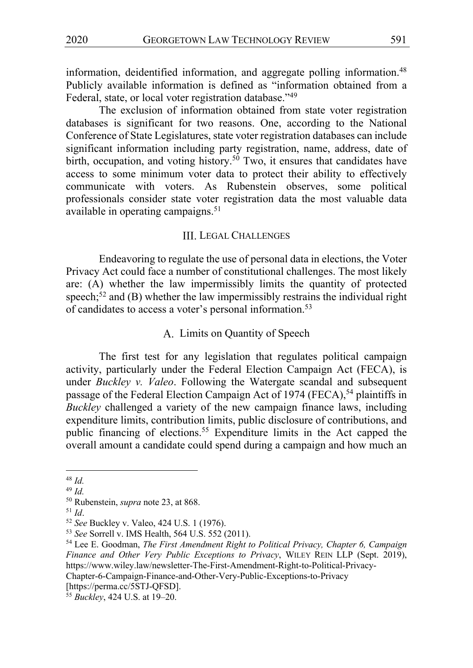information, deidentified information, and aggregate polling information.<sup>48</sup> Publicly available information is defined as "information obtained from a Federal, state, or local voter registration database."<sup>49</sup>

The exclusion of information obtained from state voter registration databases is significant for two reasons. One, according to the National Conference of State Legislatures, state voter registration databases can include significant information including party registration, name, address, date of birth, occupation, and voting history.<sup>50</sup> Two, it ensures that candidates have access to some minimum voter data to protect their ability to effectively communicate with voters. As Rubenstein observes, some political professionals consider state voter registration data the most valuable data available in operating campaigns.<sup>51</sup>

#### III. LEGAL CHALLENGES

Endeavoring to regulate the use of personal data in elections, the Voter Privacy Act could face a number of constitutional challenges. The most likely are: (A) whether the law impermissibly limits the quantity of protected speech;<sup>52</sup> and (B) whether the law impermissibly restrains the individual right of candidates to access a voter's personal information.<sup>53</sup>

# A. Limits on Quantity of Speech

The first test for any legislation that regulates political campaign activity, particularly under the Federal Election Campaign Act (FECA), is under *Buckley v. Valeo*. Following the Watergate scandal and subsequent passage of the Federal Election Campaign Act of 1974 (FECA),<sup>54</sup> plaintiffs in *Buckley* challenged a variety of the new campaign finance laws, including expenditure limits, contribution limits, public disclosure of contributions, and public financing of elections.<sup>55</sup> Expenditure limits in the Act capped the overall amount a candidate could spend during a campaign and how much an

<sup>51</sup> *Id*.

[https://perma.cc/5STJ-QFSD].

<sup>48</sup> *Id.*

<sup>49</sup> *Id.*

<sup>50</sup> Rubenstein, *supra* note 23, at 868.

<sup>52</sup> *See* Buckley v. Valeo, 424 U.S. 1 (1976).

<sup>53</sup> *See* Sorrell v. IMS Health, 564 U.S. 552 (2011).

<sup>54</sup> Lee E. Goodman, *The First Amendment Right to Political Privacy, Chapter 6, Campaign Finance and Other Very Public Exceptions to Privacy*, WILEY REIN LLP (Sept. 2019), https://www.wiley.law/newsletter-The-First-Amendment-Right-to-Political-Privacy-Chapter-6-Campaign-Finance-and-Other-Very-Public-Exceptions-to-Privacy

<sup>55</sup> *Buckley*, 424 U.S. at 19–20.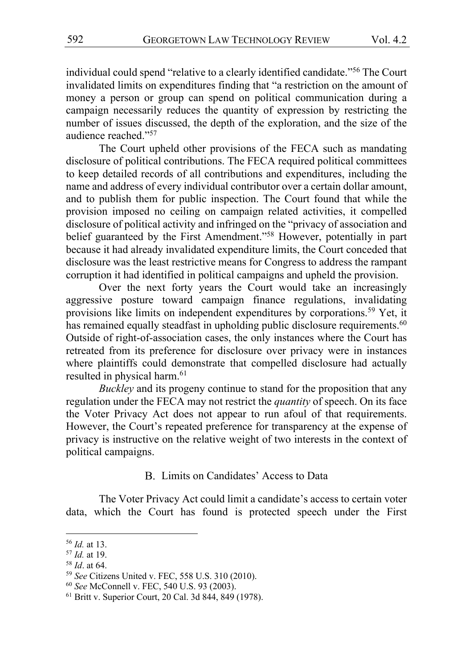individual could spend "relative to a clearly identified candidate."56 The Court invalidated limits on expenditures finding that "a restriction on the amount of money a person or group can spend on political communication during a campaign necessarily reduces the quantity of expression by restricting the number of issues discussed, the depth of the exploration, and the size of the audience reached."57

The Court upheld other provisions of the FECA such as mandating disclosure of political contributions. The FECA required political committees to keep detailed records of all contributions and expenditures, including the name and address of every individual contributor over a certain dollar amount, and to publish them for public inspection. The Court found that while the provision imposed no ceiling on campaign related activities, it compelled disclosure of political activity and infringed on the "privacy of association and belief guaranteed by the First Amendment."<sup>58</sup> However, potentially in part because it had already invalidated expenditure limits, the Court conceded that disclosure was the least restrictive means for Congress to address the rampant corruption it had identified in political campaigns and upheld the provision.

Over the next forty years the Court would take an increasingly aggressive posture toward campaign finance regulations, invalidating provisions like limits on independent expenditures by corporations.<sup>59</sup> Yet, it has remained equally steadfast in upholding public disclosure requirements.<sup>60</sup> Outside of right-of-association cases, the only instances where the Court has retreated from its preference for disclosure over privacy were in instances where plaintiffs could demonstrate that compelled disclosure had actually resulted in physical harm.<sup>61</sup>

*Buckley* and its progeny continue to stand for the proposition that any regulation under the FECA may not restrict the *quantity* of speech. On its face the Voter Privacy Act does not appear to run afoul of that requirements. However, the Court's repeated preference for transparency at the expense of privacy is instructive on the relative weight of two interests in the context of political campaigns.

#### B. Limits on Candidates' Access to Data

The Voter Privacy Act could limit a candidate's access to certain voter data, which the Court has found is protected speech under the First

<sup>58</sup> *Id*. at 64.

<sup>56</sup> *Id.* at 13.

<sup>57</sup> *Id.* at 19.

<sup>59</sup> *See* Citizens United v. FEC, 558 U.S. 310 (2010).

<sup>60</sup> *See* McConnell v. FEC, 540 U.S. 93 (2003).

<sup>61</sup> Britt v. Superior Court, 20 Cal. 3d 844, 849 (1978).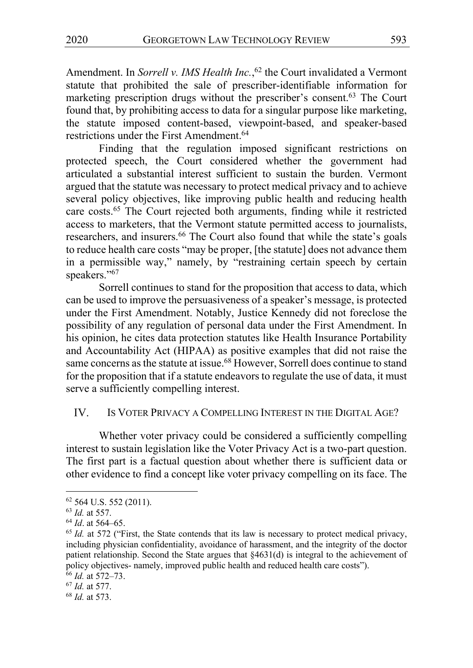Amendment. In *Sorrell v. IMS Health Inc.*, <sup>62</sup> the Court invalidated a Vermont statute that prohibited the sale of prescriber-identifiable information for marketing prescription drugs without the prescriber's consent.<sup>63</sup> The Court found that, by prohibiting access to data for a singular purpose like marketing, the statute imposed content-based, viewpoint-based, and speaker-based restrictions under the First Amendment.<sup>64</sup>

Finding that the regulation imposed significant restrictions on protected speech, the Court considered whether the government had articulated a substantial interest sufficient to sustain the burden. Vermont argued that the statute was necessary to protect medical privacy and to achieve several policy objectives, like improving public health and reducing health care costs.<sup>65</sup> The Court rejected both arguments, finding while it restricted access to marketers, that the Vermont statute permitted access to journalists, researchers, and insurers.<sup>66</sup> The Court also found that while the state's goals to reduce health care costs "may be proper, [the statute] does not advance them in a permissible way," namely, by "restraining certain speech by certain speakers."<sup>67</sup>

Sorrell continues to stand for the proposition that access to data, which can be used to improve the persuasiveness of a speaker's message, is protected under the First Amendment. Notably, Justice Kennedy did not foreclose the possibility of any regulation of personal data under the First Amendment. In his opinion, he cites data protection statutes like Health Insurance Portability and Accountability Act (HIPAA) as positive examples that did not raise the same concerns as the statute at issue.<sup>68</sup> However, Sorrell does continue to stand for the proposition that if a statute endeavors to regulate the use of data, it must serve a sufficiently compelling interest.

#### IV. IS VOTER PRIVACY A COMPELLING INTEREST IN THE DIGITAL AGE?

Whether voter privacy could be considered a sufficiently compelling interest to sustain legislation like the Voter Privacy Act is a two-part question. The first part is a factual question about whether there is sufficient data or other evidence to find a concept like voter privacy compelling on its face. The

 $62$  564 U.S. 552 (2011).

<sup>63</sup> *Id.* at 557.

<sup>64</sup> *Id*. at 564–65.

<sup>&</sup>lt;sup>65</sup> *Id.* at 572 ("First, the State contends that its law is necessary to protect medical privacy, including physician confidentiality, avoidance of harassment, and the integrity of the doctor patient relationship. Second the State argues that §4631(d) is integral to the achievement of policy objectives- namely, improved public health and reduced health care costs").

<sup>66</sup> *Id.* at 572–73.

<sup>67</sup> *Id.* at 577.

<sup>68</sup> *Id.* at 573.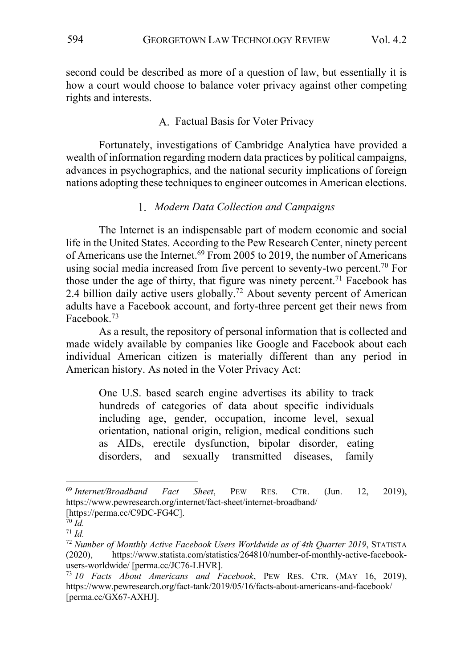second could be described as more of a question of law, but essentially it is how a court would choose to balance voter privacy against other competing rights and interests.

# A. Factual Basis for Voter Privacy

Fortunately, investigations of Cambridge Analytica have provided a wealth of information regarding modern data practices by political campaigns, advances in psychographics, and the national security implications of foreign nations adopting these techniques to engineer outcomes in American elections.

# *Modern Data Collection and Campaigns*

The Internet is an indispensable part of modern economic and social life in the United States. According to the Pew Research Center, ninety percent of Americans use the Internet.<sup>69</sup> From 2005 to 2019, the number of Americans using social media increased from five percent to seventy-two percent.<sup>70</sup> For those under the age of thirty, that figure was ninety percent.<sup>71</sup> Facebook has 2.4 billion daily active users globally.<sup>72</sup> About seventy percent of American adults have a Facebook account, and forty-three percent get their news from Facebook.73

As a result, the repository of personal information that is collected and made widely available by companies like Google and Facebook about each individual American citizen is materially different than any period in American history. As noted in the Voter Privacy Act:

One U.S. based search engine advertises its ability to track hundreds of categories of data about specific individuals including age, gender, occupation, income level, sexual orientation, national origin, religion, medical conditions such as AIDs, erectile dysfunction, bipolar disorder, eating disorders, and sexually transmitted diseases, family

<sup>69</sup> *Internet/Broadband Fact Sheet*, PEW RES. CTR. (Jun. 12, 2019), https://www.pewresearch.org/internet/fact-sheet/internet-broadband/ [https://perma.cc/C9DC-FG4C].

<sup>70</sup> *Id.*

<sup>71</sup> *Id.*

<sup>72</sup> *Number of Monthly Active Facebook Users Worldwide as of 4th Quarter 2019*, STATISTA (2020), https://www.statista.com/statistics/264810/number-of-monthly-active-facebookusers-worldwide/ [perma.cc/JC76-LHVR].

<sup>73</sup> *10 Facts About Americans and Facebook*, PEW RES. CTR. (MAY 16, 2019), https://www.pewresearch.org/fact-tank/2019/05/16/facts-about-americans-and-facebook/ [perma.cc/GX67-AXHJ].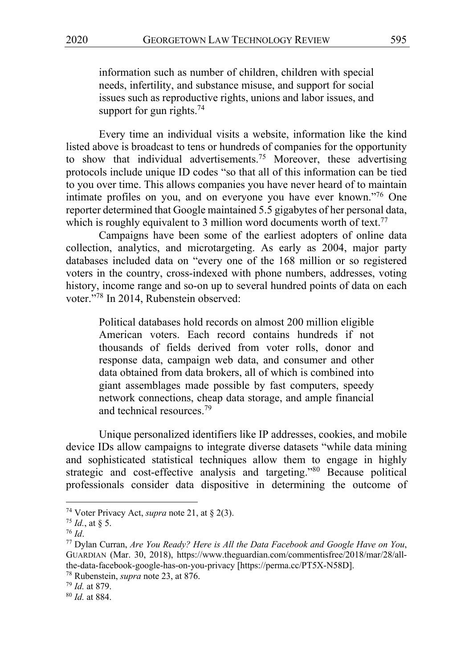information such as number of children, children with special needs, infertility, and substance misuse, and support for social issues such as reproductive rights, unions and labor issues, and support for gun rights. $74$ 

Every time an individual visits a website, information like the kind listed above is broadcast to tens or hundreds of companies for the opportunity to show that individual advertisements.<sup>75</sup> Moreover, these advertising protocols include unique ID codes "so that all of this information can be tied to you over time. This allows companies you have never heard of to maintain intimate profiles on you, and on everyone you have ever known."<sup>76</sup> One reporter determined that Google maintained 5.5 gigabytes of her personal data, which is roughly equivalent to 3 million word documents worth of text.<sup>77</sup>

Campaigns have been some of the earliest adopters of online data collection, analytics, and microtargeting. As early as 2004, major party databases included data on "every one of the 168 million or so registered voters in the country, cross-indexed with phone numbers, addresses, voting history, income range and so-on up to several hundred points of data on each voter."78 In 2014, Rubenstein observed:

Political databases hold records on almost 200 million eligible American voters. Each record contains hundreds if not thousands of fields derived from voter rolls, donor and response data, campaign web data, and consumer and other data obtained from data brokers, all of which is combined into giant assemblages made possible by fast computers, speedy network connections, cheap data storage, and ample financial and technical resources.<sup>79</sup>

Unique personalized identifiers like IP addresses, cookies, and mobile device IDs allow campaigns to integrate diverse datasets "while data mining and sophisticated statistical techniques allow them to engage in highly strategic and cost-effective analysis and targeting."80 Because political professionals consider data dispositive in determining the outcome of

<sup>74</sup> Voter Privacy Act, *supra* note 21, at § 2(3).

 $^{75}$  *Id.*, at § 5.

<sup>76</sup> *Id*.

<sup>77</sup> Dylan Curran, *Are You Ready? Here is All the Data Facebook and Google Have on You*, GUARDIAN (Mar. 30, 2018), https://www.theguardian.com/commentisfree/2018/mar/28/allthe-data-facebook-google-has-on-you-privacy [https://perma.cc/PT5X-N58D].

<sup>78</sup> Rubenstein, *supra* note 23, at 876.

<sup>79</sup> *Id.* at 879.

<sup>80</sup> *Id.* at 884.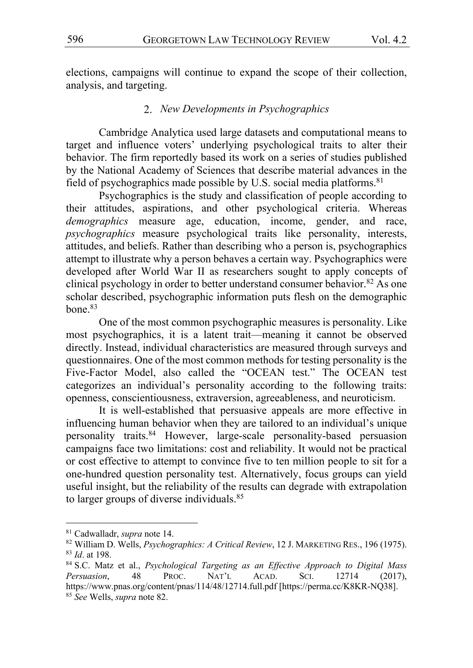elections, campaigns will continue to expand the scope of their collection, analysis, and targeting.

#### *New Developments in Psychographics*

Cambridge Analytica used large datasets and computational means to target and influence voters' underlying psychological traits to alter their behavior. The firm reportedly based its work on a series of studies published by the National Academy of Sciences that describe material advances in the field of psychographics made possible by U.S. social media platforms.  $81$ 

Psychographics is the study and classification of people according to their attitudes, aspirations, and other psychological criteria. Whereas *demographics* measure age, education, income, gender, and race, *psychographics* measure psychological traits like personality, interests, attitudes, and beliefs. Rather than describing who a person is, psychographics attempt to illustrate why a person behaves a certain way. Psychographics were developed after World War II as researchers sought to apply concepts of clinical psychology in order to better understand consumer behavior.<sup>82</sup> As one scholar described, psychographic information puts flesh on the demographic  $bone<sup>83</sup>$ 

One of the most common psychographic measures is personality. Like most psychographics, it is a latent trait—meaning it cannot be observed directly. Instead, individual characteristics are measured through surveys and questionnaires. One of the most common methods for testing personality is the Five-Factor Model, also called the "OCEAN test." The OCEAN test categorizes an individual's personality according to the following traits: openness, conscientiousness, extraversion, agreeableness, and neuroticism.

It is well-established that persuasive appeals are more effective in influencing human behavior when they are tailored to an individual's unique personality traits.<sup>84</sup> However, large-scale personality-based persuasion campaigns face two limitations: cost and reliability. It would not be practical or cost effective to attempt to convince five to ten million people to sit for a one-hundred question personality test. Alternatively, focus groups can yield useful insight, but the reliability of the results can degrade with extrapolation to larger groups of diverse individuals.<sup>85</sup>

<sup>81</sup> Cadwalladr, *supra* note 14.

<sup>82</sup> William D. Wells, *Psychographics: A Critical Review*, 12 J. MARKETING RES., 196 (1975). <sup>83</sup> *Id*. at 198.

<sup>84</sup> S.C. Matz et al., *Psychological Targeting as an Effective Approach to Digital Mass Persuasion*, 48 PROC. NAT'L ACAD. SCI. 12714 (2017), https://www.pnas.org/content/pnas/114/48/12714.full.pdf [https://perma.cc/K8KR-NQ38]. <sup>85</sup> *See* Wells, *supra* note 82.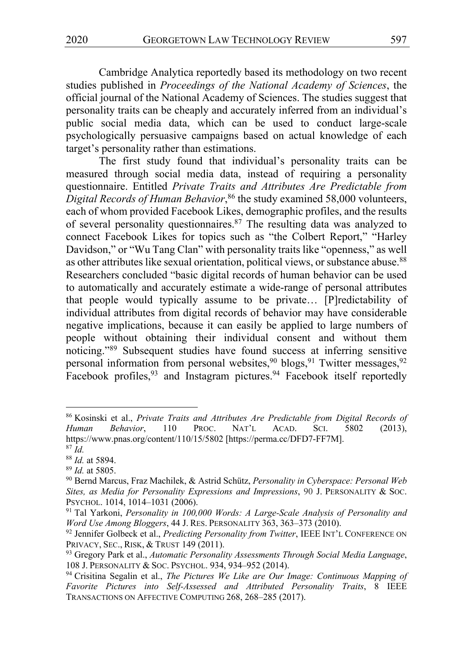Cambridge Analytica reportedly based its methodology on two recent studies published in *Proceedings of the National Academy of Sciences*, the official journal of the National Academy of Sciences. The studies suggest that personality traits can be cheaply and accurately inferred from an individual's public social media data, which can be used to conduct large-scale psychologically persuasive campaigns based on actual knowledge of each target's personality rather than estimations.

The first study found that individual's personality traits can be measured through social media data, instead of requiring a personality questionnaire. Entitled *Private Traits and Attributes Are Predictable from Digital Records of Human Behavior*, <sup>86</sup> the study examined 58,000 volunteers, each of whom provided Facebook Likes, demographic profiles, and the results of several personality questionnaires.<sup>87</sup> The resulting data was analyzed to connect Facebook Likes for topics such as "the Colbert Report," "Harley Davidson," or "Wu Tang Clan" with personality traits like "openness," as well as other attributes like sexual orientation, political views, or substance abuse.<sup>88</sup> Researchers concluded "basic digital records of human behavior can be used to automatically and accurately estimate a wide-range of personal attributes that people would typically assume to be private… [P]redictability of individual attributes from digital records of behavior may have considerable negative implications, because it can easily be applied to large numbers of people without obtaining their individual consent and without them noticing."89 Subsequent studies have found success at inferring sensitive personal information from personal websites,<sup>90</sup> blogs,<sup>91</sup> Twitter messages,<sup>92</sup> Facebook profiles,<sup>93</sup> and Instagram pictures.<sup>94</sup> Facebook itself reportedly

<sup>86</sup> Kosinski et al., *Private Traits and Attributes Are Predictable from Digital Records of Human Behavior*, 110 PROC. NAT'L ACAD. SCI. 5802 (2013), https://www.pnas.org/content/110/15/5802 [https://perma.cc/DFD7-FF7M].

<sup>87</sup> *Id.*

<sup>88</sup> *Id.* at 5894.

<sup>89</sup> *Id.* at 5805.

<sup>90</sup> Bernd Marcus, Fraz Machilek, & Astrid Schütz, *Personality in Cyberspace: Personal Web Sites, as Media for Personality Expressions and Impressions*, 90 J. PERSONALITY & SOC. PSYCHOL. 1014, 1014–1031 (2006).

<sup>91</sup> Tal Yarkoni, *Personality in 100,000 Words: A Large-Scale Analysis of Personality and Word Use Among Bloggers*, 44 J. RES. PERSONALITY 363, 363–373 (2010).

<sup>92</sup> Jennifer Golbeck et al., *Predicting Personality from Twitter*, IEEE INT'L CONFERENCE ON PRIVACY, SEC., RISK, & TRUST 149 (2011).

<sup>93</sup> Gregory Park et al., *Automatic Personality Assessments Through Social Media Language*, 108 J. PERSONALITY & SOC. PSYCHOL. 934, 934–952 (2014).

<sup>94</sup> Crisitina Segalin et al., *The Pictures We Like are Our Image: Continuous Mapping of Favorite Pictures into Self-Assessed and Attributed Personality Traits*, 8 IEEE TRANSACTIONS ON AFFECTIVE COMPUTING 268, 268–285 (2017).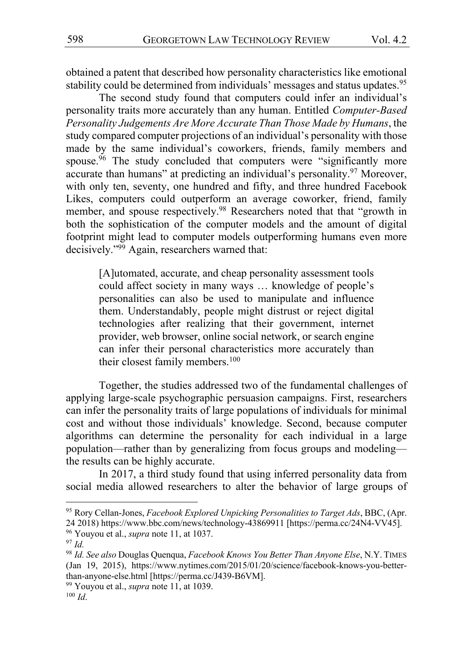obtained a patent that described how personality characteristics like emotional stability could be determined from individuals' messages and status updates.<sup>95</sup>

The second study found that computers could infer an individual's personality traits more accurately than any human. Entitled *Computer-Based Personality Judgements Are More Accurate Than Those Made by Humans*, the study compared computer projections of an individual's personality with those made by the same individual's coworkers, friends, family members and spouse.<sup>96</sup> The study concluded that computers were "significantly more accurate than humans" at predicting an individual's personality.<sup>97</sup> Moreover, with only ten, seventy, one hundred and fifty, and three hundred Facebook Likes, computers could outperform an average coworker, friend, family member, and spouse respectively.<sup>98</sup> Researchers noted that that "growth in both the sophistication of the computer models and the amount of digital footprint might lead to computer models outperforming humans even more decisively."<sup>99</sup> Again, researchers warned that:

[A]utomated, accurate, and cheap personality assessment tools could affect society in many ways … knowledge of people's personalities can also be used to manipulate and influence them. Understandably, people might distrust or reject digital technologies after realizing that their government, internet provider, web browser, online social network, or search engine can infer their personal characteristics more accurately than their closest family members.<sup>100</sup>

Together, the studies addressed two of the fundamental challenges of applying large-scale psychographic persuasion campaigns. First, researchers can infer the personality traits of large populations of individuals for minimal cost and without those individuals' knowledge. Second, because computer algorithms can determine the personality for each individual in a large population—rather than by generalizing from focus groups and modeling the results can be highly accurate.

In 2017, a third study found that using inferred personality data from social media allowed researchers to alter the behavior of large groups of

<sup>95</sup> Rory Cellan-Jones, *Facebook Explored Unpicking Personalities to Target Ads*, BBC, (Apr. 24 2018) https://www.bbc.com/news/technology-43869911 [https://perma.cc/24N4-VV45]. <sup>96</sup> Youyou et al., *supra* note 11, at 1037.

<sup>97</sup> *Id.*

<sup>98</sup> *Id. See also* Douglas Quenqua, *Facebook Knows You Better Than Anyone Else*, N.Y. TIMES (Jan 19, 2015), https://www.nytimes.com/2015/01/20/science/facebook-knows-you-betterthan-anyone-else.html [https://perma.cc/J439-B6VM].

<sup>99</sup> Youyou et al., *supra* note 11, at 1039.

<sup>100</sup> *Id*.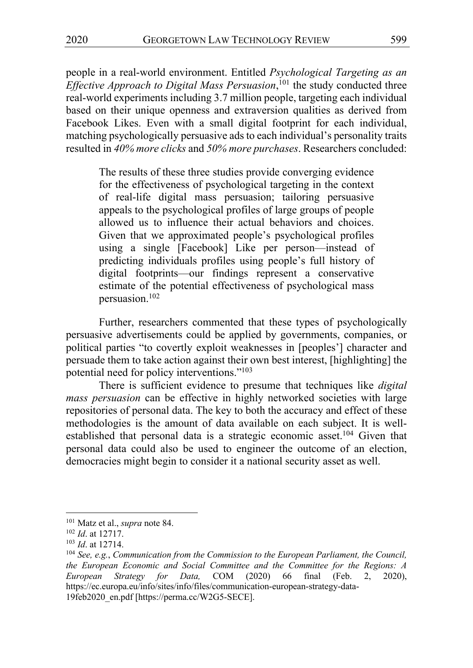people in a real-world environment. Entitled *Psychological Targeting as an Effective Approach to Digital Mass Persuasion*, <sup>101</sup> the study conducted three real-world experiments including 3.7 million people, targeting each individual based on their unique openness and extraversion qualities as derived from Facebook Likes. Even with a small digital footprint for each individual, matching psychologically persuasive ads to each individual's personality traits resulted in *40% more clicks* and *50% more purchases*. Researchers concluded:

The results of these three studies provide converging evidence for the effectiveness of psychological targeting in the context of real-life digital mass persuasion; tailoring persuasive appeals to the psychological profiles of large groups of people allowed us to influence their actual behaviors and choices. Given that we approximated people's psychological profiles using a single [Facebook] Like per person—instead of predicting individuals profiles using people's full history of digital footprints—our findings represent a conservative estimate of the potential effectiveness of psychological mass persuasion.102

Further, researchers commented that these types of psychologically persuasive advertisements could be applied by governments, companies, or political parties "to covertly exploit weaknesses in [peoples'] character and persuade them to take action against their own best interest, [highlighting] the potential need for policy interventions."<sup>103</sup>

There is sufficient evidence to presume that techniques like *digital mass persuasion* can be effective in highly networked societies with large repositories of personal data. The key to both the accuracy and effect of these methodologies is the amount of data available on each subject. It is wellestablished that personal data is a strategic economic asset.<sup>104</sup> Given that personal data could also be used to engineer the outcome of an election, democracies might begin to consider it a national security asset as well.

<sup>101</sup> Matz et al., *supra* note 84.

<sup>102</sup> *Id*. at 12717.

<sup>103</sup> *Id*. at 12714.

<sup>104</sup> *See, e.g.*, *Communication from the Commission to the European Parliament, the Council, the European Economic and Social Committee and the Committee for the Regions: A European Strategy for Data,* COM (2020) 66 final (Feb. 2, 2020), https://ec.europa.eu/info/sites/info/files/communication-european-strategy-data-19feb2020\_en.pdf [https://perma.cc/W2G5-SECE].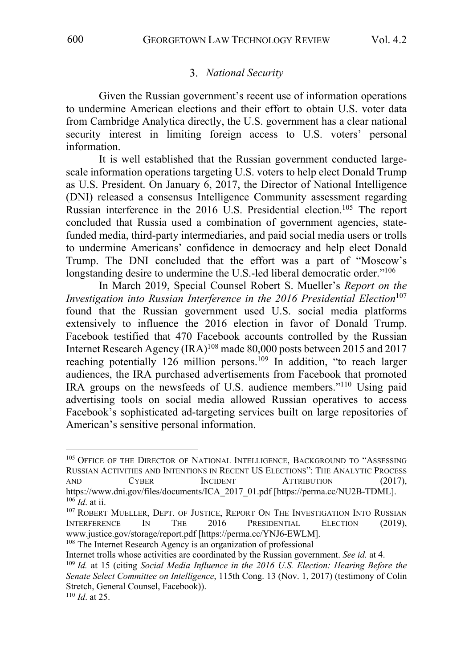# *National Security*

Given the Russian government's recent use of information operations to undermine American elections and their effort to obtain U.S. voter data from Cambridge Analytica directly, the U.S. government has a clear national security interest in limiting foreign access to U.S. voters' personal information.

It is well established that the Russian government conducted largescale information operations targeting U.S. voters to help elect Donald Trump as U.S. President. On January 6, 2017, the Director of National Intelligence (DNI) released a consensus Intelligence Community assessment regarding Russian interference in the 2016 U.S. Presidential election.<sup>105</sup> The report concluded that Russia used a combination of government agencies, statefunded media, third-party intermediaries, and paid social media users or trolls to undermine Americans' confidence in democracy and help elect Donald Trump. The DNI concluded that the effort was a part of "Moscow's longstanding desire to undermine the U.S.-led liberal democratic order."<sup>106</sup>

In March 2019, Special Counsel Robert S. Mueller's *Report on the Investigation into Russian Interference in the 2016 Presidential Election*<sup>107</sup> found that the Russian government used U.S. social media platforms extensively to influence the 2016 election in favor of Donald Trump. Facebook testified that 470 Facebook accounts controlled by the Russian Internet Research Agency (IRA)<sup>108</sup> made 80,000 posts between 2015 and 2017 reaching potentially 126 million persons.<sup>109</sup> In addition, "to reach larger audiences, the IRA purchased advertisements from Facebook that promoted IRA groups on the newsfeeds of U.S. audience members."<sup>110</sup> Using paid advertising tools on social media allowed Russian operatives to access Facebook's sophisticated ad-targeting services built on large repositories of American's sensitive personal information.

<sup>&</sup>lt;sup>105</sup> OFFICE OF THE DIRECTOR OF NATIONAL INTELLIGENCE, BACKGROUND TO "ASSESSING RUSSIAN ACTIVITIES AND INTENTIONS IN RECENT US ELECTIONS": THE ANALYTIC PROCESS AND CYBER INCIDENT ATTRIBUTION (2017), https://www.dni.gov/files/documents/ICA\_2017\_01.pdf [https://perma.cc/NU2B-TDML]. <sup>106</sup> *Id*. at ii.

<sup>107</sup> ROBERT MUELLER, DEPT. OF JUSTICE, REPORT ON THE INVESTIGATION INTO RUSSIAN INTERFERENCE IN THE 2016 PRESIDENTIAL ELECTION (2019), www.justice.gov/storage/report.pdf [https://perma.cc/YNJ6-EWLM].

<sup>&</sup>lt;sup>108</sup> The Internet Research Agency is an organization of professional

Internet trolls whose activities are coordinated by the Russian government. *See id.* at 4.

<sup>109</sup> *Id.* at 15 (citing *Social Media Influence in the 2016 U.S. Election: Hearing Before the Senate Select Committee on Intelligence*, 115th Cong. 13 (Nov. 1, 2017) (testimony of Colin Stretch, General Counsel, Facebook)).

<sup>110</sup> *Id*. at 25.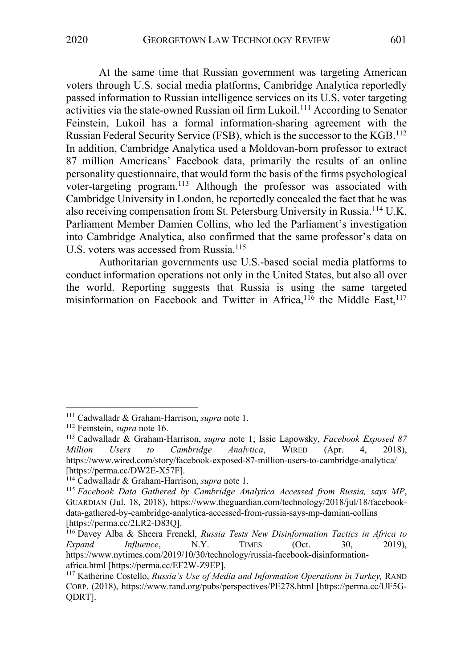At the same time that Russian government was targeting American voters through U.S. social media platforms, Cambridge Analytica reportedly passed information to Russian intelligence services on its U.S. voter targeting activities via the state-owned Russian oil firm Lukoil.<sup>111</sup> According to Senator Feinstein, Lukoil has a formal information-sharing agreement with the Russian Federal Security Service (FSB), which is the successor to the KGB.<sup>112</sup> In addition, Cambridge Analytica used a Moldovan-born professor to extract 87 million Americans' Facebook data, primarily the results of an online personality questionnaire, that would form the basis of the firms psychological voter-targeting program.113 Although the professor was associated with Cambridge University in London, he reportedly concealed the fact that he was also receiving compensation from St. Petersburg University in Russia.<sup>114</sup> U.K. Parliament Member Damien Collins, who led the Parliament's investigation into Cambridge Analytica, also confirmed that the same professor's data on U.S. voters was accessed from Russia.<sup>115</sup>

Authoritarian governments use U.S.-based social media platforms to conduct information operations not only in the United States, but also all over the world. Reporting suggests that Russia is using the same targeted misinformation on Facebook and Twitter in Africa, $116$  the Middle East, $117$ 

<sup>111</sup> Cadwalladr & Graham-Harrison, *supra* note 1.

<sup>112</sup> Feinstein, *supra* note 16.

<sup>113</sup> Cadwalladr & Graham-Harrison, *supra* note 1; Issie Lapowsky, *Facebook Exposed 87 Million Users to Cambridge Analytica*, WIRED (Apr. 4, 2018), https://www.wired.com/story/facebook-exposed-87-million-users-to-cambridge-analytica/ [https://perma.cc/DW2E-X57F].

<sup>114</sup> Cadwalladr & Graham-Harrison, *supra* note 1.

<sup>115</sup> *Facebook Data Gathered by Cambridge Analytica Accessed from Russia, says MP*, GUARDIAN (Jul. 18, 2018), https://www.theguardian.com/technology/2018/jul/18/facebookdata-gathered-by-cambridge-analytica-accessed-from-russia-says-mp-damian-collins [https://perma.cc/2LR2-D83Q].

<sup>116</sup> Davey Alba & Sheera Frenekl, *Russia Tests New Disinformation Tactics in Africa to Expand Influence*, N.Y. TIMES (Oct. 30, 2019), https://www.nytimes.com/2019/10/30/technology/russia-facebook-disinformationafrica.html [https://perma.cc/EF2W-Z9EP].

<sup>117</sup> Katherine Costello, *Russia's Use of Media and Information Operations in Turkey,* RAND CORP. (2018), https://www.rand.org/pubs/perspectives/PE278.html [https://perma.cc/UF5G-QDRT].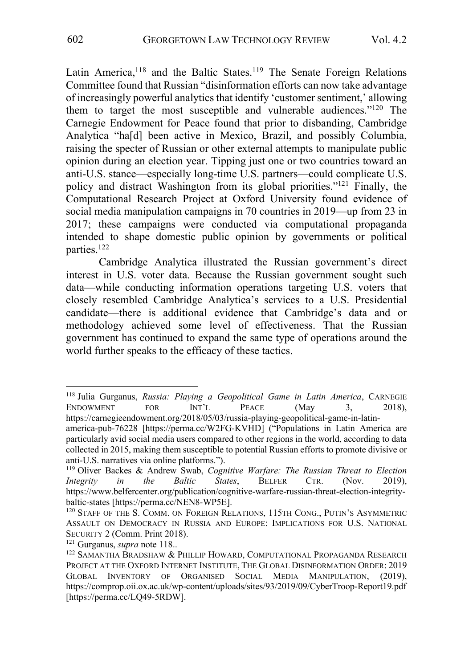Latin America,<sup>118</sup> and the Baltic States.<sup>119</sup> The Senate Foreign Relations Committee found that Russian "disinformation efforts can now take advantage of increasingly powerful analytics that identify 'customer sentiment,' allowing them to target the most susceptible and vulnerable audiences."120 The Carnegie Endowment for Peace found that prior to disbanding, Cambridge Analytica "ha[d] been active in Mexico, Brazil, and possibly Columbia, raising the specter of Russian or other external attempts to manipulate public opinion during an election year. Tipping just one or two countries toward an anti-U.S. stance—especially long-time U.S. partners—could complicate U.S. policy and distract Washington from its global priorities."121 Finally, the Computational Research Project at Oxford University found evidence of social media manipulation campaigns in 70 countries in 2019—up from 23 in 2017; these campaigns were conducted via computational propaganda intended to shape domestic public opinion by governments or political parties.122

Cambridge Analytica illustrated the Russian government's direct interest in U.S. voter data. Because the Russian government sought such data—while conducting information operations targeting U.S. voters that closely resembled Cambridge Analytica's services to a U.S. Presidential candidate—there is additional evidence that Cambridge's data and or methodology achieved some level of effectiveness. That the Russian government has continued to expand the same type of operations around the world further speaks to the efficacy of these tactics.

<sup>118</sup> Julia Gurganus, *Russia: Playing a Geopolitical Game in Latin America*, CARNEGIE ENDOWMENT FOR INT'L PEACE (May 3, 2018), https://carnegieendowment.org/2018/05/03/russia-playing-geopolitical-game-in-latin-

america-pub-76228 [https://perma.cc/W2FG-KVHD] ("Populations in Latin America are particularly avid social media users compared to other regions in the world, according to data collected in 2015, making them susceptible to potential Russian efforts to promote divisive or anti-U.S. narratives via online platforms.").

<sup>119</sup> Oliver Backes & Andrew Swab, *Cognitive Warfare: The Russian Threat to Election Integrity in the Baltic States*, BELFER CTR. (Nov. 2019), https://www.belfercenter.org/publication/cognitive-warfare-russian-threat-election-integritybaltic-states [https://perma.cc/NEN8-WP5E].

<sup>&</sup>lt;sup>120</sup> STAFF OF THE S. COMM. ON FOREIGN RELATIONS, 115TH CONG., PUTIN'S ASYMMETRIC ASSAULT ON DEMOCRACY IN RUSSIA AND EUROPE: IMPLICATIONS FOR U.S. NATIONAL SECURITY 2 (Comm. Print 2018).

<sup>121</sup> Gurganus, *supra* note 118..

<sup>&</sup>lt;sup>122</sup> SAMANTHA BRADSHAW & PHILLIP HOWARD, COMPUTATIONAL PROPAGANDA RESEARCH PROJECT AT THE OXFORD INTERNET INSTITUTE, THE GLOBAL DISINFORMATION ORDER: 2019 GLOBAL INVENTORY OF ORGANISED SOCIAL MEDIA MANIPULATION, (2019), https://comprop.oii.ox.ac.uk/wp-content/uploads/sites/93/2019/09/CyberTroop-Report19.pdf [https://perma.cc/LQ49-5RDW].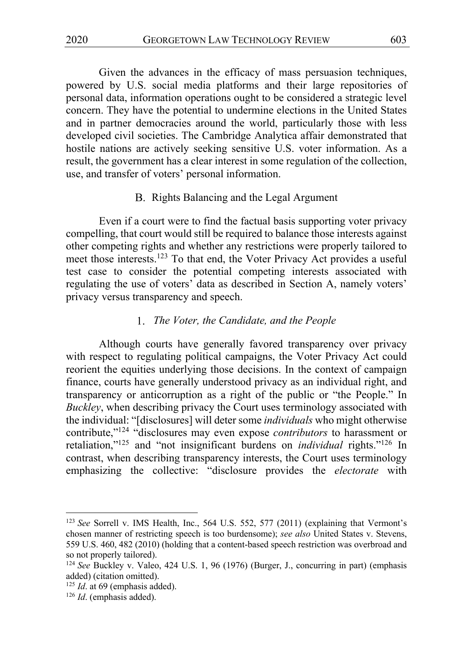Given the advances in the efficacy of mass persuasion techniques, powered by U.S. social media platforms and their large repositories of personal data, information operations ought to be considered a strategic level concern. They have the potential to undermine elections in the United States and in partner democracies around the world, particularly those with less developed civil societies. The Cambridge Analytica affair demonstrated that hostile nations are actively seeking sensitive U.S. voter information. As a result, the government has a clear interest in some regulation of the collection, use, and transfer of voters' personal information.

# B. Rights Balancing and the Legal Argument

Even if a court were to find the factual basis supporting voter privacy compelling, that court would still be required to balance those interests against other competing rights and whether any restrictions were properly tailored to meet those interests.123 To that end, the Voter Privacy Act provides a useful test case to consider the potential competing interests associated with regulating the use of voters' data as described in Section A, namely voters' privacy versus transparency and speech.

# *The Voter, the Candidate, and the People*

Although courts have generally favored transparency over privacy with respect to regulating political campaigns, the Voter Privacy Act could reorient the equities underlying those decisions. In the context of campaign finance, courts have generally understood privacy as an individual right, and transparency or anticorruption as a right of the public or "the People." In *Buckley*, when describing privacy the Court uses terminology associated with the individual: "[disclosures] will deter some *individuals* who might otherwise contribute,"124 "disclosures may even expose *contributors* to harassment or retaliation,"125 and "not insignificant burdens on *individual* rights."126 In contrast, when describing transparency interests, the Court uses terminology emphasizing the collective: "disclosure provides the *electorate* with

<sup>&</sup>lt;sup>123</sup> See Sorrell v. IMS Health, Inc., 564 U.S. 552, 577 (2011) (explaining that Vermont's chosen manner of restricting speech is too burdensome); *see also* United States v. Stevens, 559 U.S. 460, 482 (2010) (holding that a content-based speech restriction was overbroad and so not properly tailored).

<sup>124</sup> *See* Buckley v. Valeo, 424 U.S. 1, 96 (1976) (Burger, J., concurring in part) (emphasis added) (citation omitted).

<sup>&</sup>lt;sup>125</sup> *Id.* at 69 (emphasis added).

<sup>126</sup> *Id*. (emphasis added).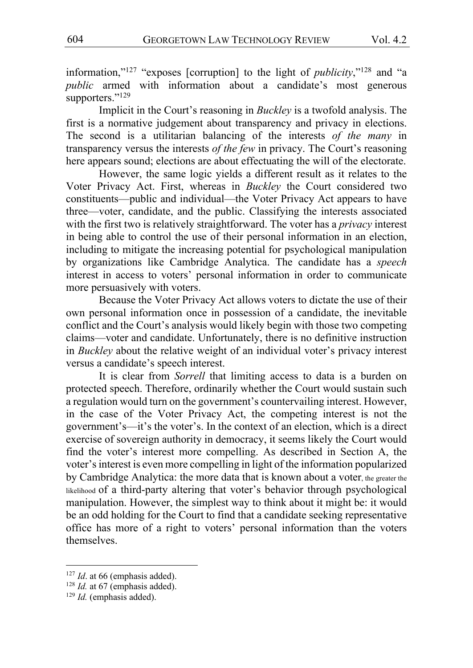information,"127 "exposes [corruption] to the light of *publicity*,"128 and "a *public* armed with information about a candidate's most generous supporters."<sup>129</sup>

Implicit in the Court's reasoning in *Buckley* is a twofold analysis. The first is a normative judgement about transparency and privacy in elections. The second is a utilitarian balancing of the interests *of the many* in transparency versus the interests *of the few* in privacy. The Court's reasoning here appears sound; elections are about effectuating the will of the electorate.

However, the same logic yields a different result as it relates to the Voter Privacy Act. First, whereas in *Buckley* the Court considered two constituents—public and individual—the Voter Privacy Act appears to have three—voter, candidate, and the public. Classifying the interests associated with the first two is relatively straightforward. The voter has a *privacy* interest in being able to control the use of their personal information in an election, including to mitigate the increasing potential for psychological manipulation by organizations like Cambridge Analytica. The candidate has a *speech* interest in access to voters' personal information in order to communicate more persuasively with voters.

Because the Voter Privacy Act allows voters to dictate the use of their own personal information once in possession of a candidate, the inevitable conflict and the Court's analysis would likely begin with those two competing claims—voter and candidate. Unfortunately, there is no definitive instruction in *Buckley* about the relative weight of an individual voter's privacy interest versus a candidate's speech interest.

It is clear from *Sorrell* that limiting access to data is a burden on protected speech. Therefore, ordinarily whether the Court would sustain such a regulation would turn on the government's countervailing interest. However, in the case of the Voter Privacy Act, the competing interest is not the government's—it's the voter's. In the context of an election, which is a direct exercise of sovereign authority in democracy, it seems likely the Court would find the voter's interest more compelling. As described in Section A, the voter's interest is even more compelling in light of the information popularized by Cambridge Analytica: the more data that is known about a voter, the greater the likelihood of a third-party altering that voter's behavior through psychological manipulation. However, the simplest way to think about it might be: it would be an odd holding for the Court to find that a candidate seeking representative office has more of a right to voters' personal information than the voters themselves.

<sup>&</sup>lt;sup>127</sup> *Id.* at 66 (emphasis added).

<sup>&</sup>lt;sup>128</sup> *Id.* at 67 (emphasis added).

<sup>&</sup>lt;sup>129</sup> *Id.* (emphasis added).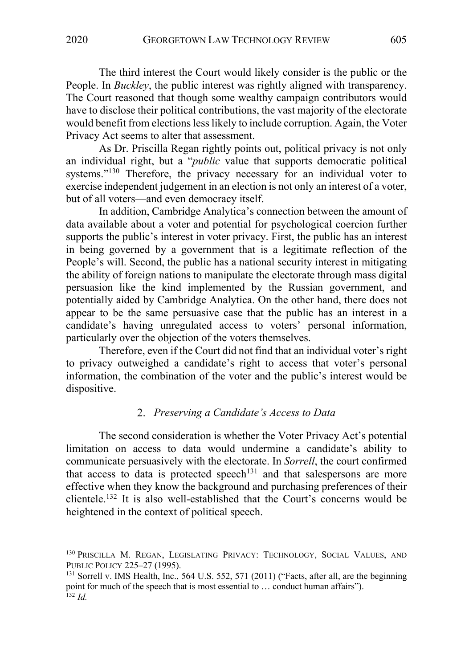The third interest the Court would likely consider is the public or the People. In *Buckley*, the public interest was rightly aligned with transparency. The Court reasoned that though some wealthy campaign contributors would have to disclose their political contributions, the vast majority of the electorate would benefit from elections less likely to include corruption. Again, the Voter Privacy Act seems to alter that assessment.

As Dr. Priscilla Regan rightly points out, political privacy is not only an individual right, but a "*public* value that supports democratic political systems."<sup>130</sup> Therefore, the privacy necessary for an individual voter to exercise independent judgement in an election is not only an interest of a voter, but of all voters—and even democracy itself.

In addition, Cambridge Analytica's connection between the amount of data available about a voter and potential for psychological coercion further supports the public's interest in voter privacy. First, the public has an interest in being governed by a government that is a legitimate reflection of the People's will. Second, the public has a national security interest in mitigating the ability of foreign nations to manipulate the electorate through mass digital persuasion like the kind implemented by the Russian government, and potentially aided by Cambridge Analytica. On the other hand, there does not appear to be the same persuasive case that the public has an interest in a candidate's having unregulated access to voters' personal information, particularly over the objection of the voters themselves.

Therefore, even if the Court did not find that an individual voter's right to privacy outweighed a candidate's right to access that voter's personal information, the combination of the voter and the public's interest would be dispositive.

### *Preserving a Candidate's Access to Data*

The second consideration is whether the Voter Privacy Act's potential limitation on access to data would undermine a candidate's ability to communicate persuasively with the electorate. In *Sorrell*, the court confirmed that access to data is protected speech<sup>131</sup> and that salespersons are more effective when they know the background and purchasing preferences of their clientele.132 It is also well-established that the Court's concerns would be heightened in the context of political speech.

<sup>&</sup>lt;sup>130</sup> PRISCILLA M. REGAN, LEGISLATING PRIVACY: TECHNOLOGY, SOCIAL VALUES, AND PUBLIC POLICY 225–27 (1995).

<sup>&</sup>lt;sup>131</sup> Sorrell v. IMS Health, Inc., 564 U.S. 552, 571 (2011) ("Facts, after all, are the beginning point for much of the speech that is most essential to … conduct human affairs").  $132$  *Id.*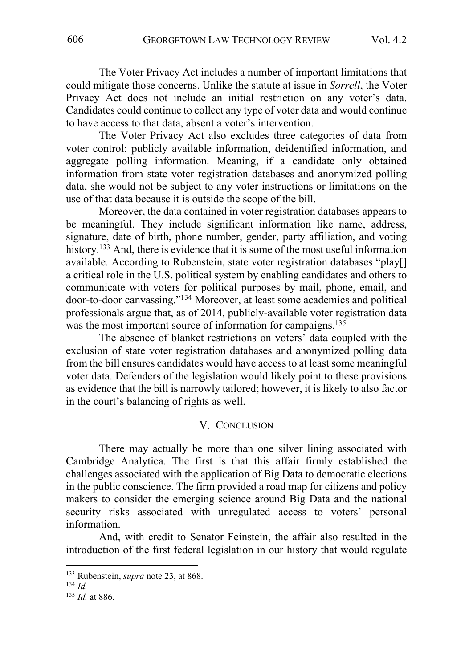The Voter Privacy Act includes a number of important limitations that could mitigate those concerns. Unlike the statute at issue in *Sorrell*, the Voter Privacy Act does not include an initial restriction on any voter's data. Candidates could continue to collect any type of voter data and would continue to have access to that data, absent a voter's intervention.

The Voter Privacy Act also excludes three categories of data from voter control: publicly available information, deidentified information, and aggregate polling information. Meaning, if a candidate only obtained information from state voter registration databases and anonymized polling data, she would not be subject to any voter instructions or limitations on the use of that data because it is outside the scope of the bill.

Moreover, the data contained in voter registration databases appears to be meaningful. They include significant information like name, address, signature, date of birth, phone number, gender, party affiliation, and voting history.<sup>133</sup> And, there is evidence that it is some of the most useful information available. According to Rubenstein, state voter registration databases "play[] a critical role in the U.S. political system by enabling candidates and others to communicate with voters for political purposes by mail, phone, email, and door-to-door canvassing."134 Moreover, at least some academics and political professionals argue that, as of 2014, publicly-available voter registration data was the most important source of information for campaigns.<sup>135</sup>

The absence of blanket restrictions on voters' data coupled with the exclusion of state voter registration databases and anonymized polling data from the bill ensures candidates would have access to at least some meaningful voter data. Defenders of the legislation would likely point to these provisions as evidence that the bill is narrowly tailored; however, it is likely to also factor in the court's balancing of rights as well.

#### V. CONCLUSION

There may actually be more than one silver lining associated with Cambridge Analytica. The first is that this affair firmly established the challenges associated with the application of Big Data to democratic elections in the public conscience. The firm provided a road map for citizens and policy makers to consider the emerging science around Big Data and the national security risks associated with unregulated access to voters' personal information.

And, with credit to Senator Feinstein, the affair also resulted in the introduction of the first federal legislation in our history that would regulate

<sup>133</sup> Rubenstein, *supra* note 23, at 868.

<sup>134</sup> *Id.*

<sup>135</sup> *Id.* at 886.